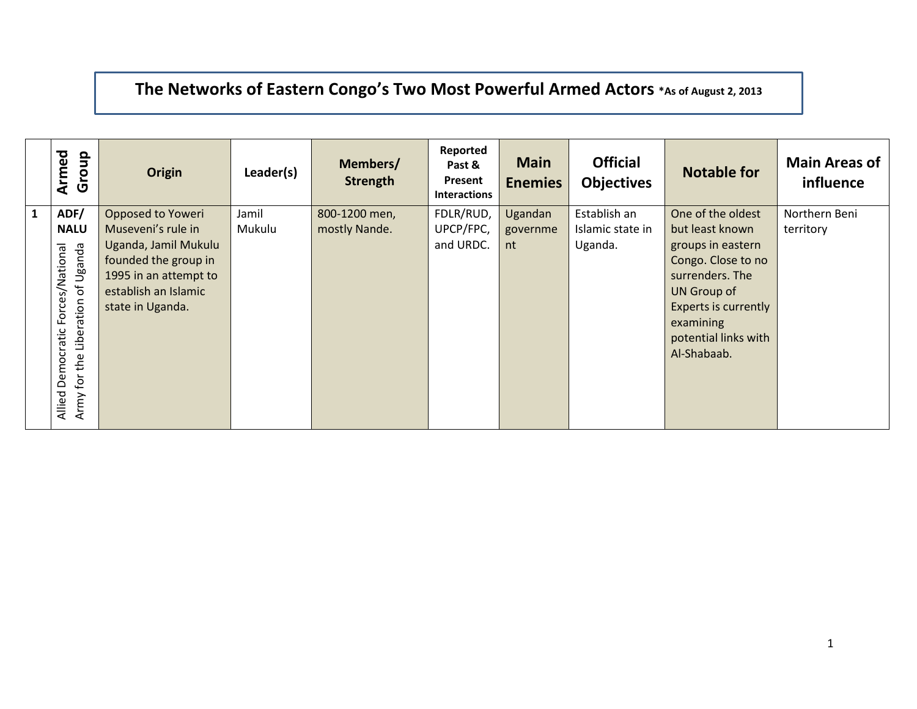## **The Networks of Eastern Congo's Two Most Powerful Armed Actors \*As of August 2, 2013**

|              | Armed<br>Group        | Origin                | Leader(s) | Members/<br><b>Strength</b> | Reported<br>Past &<br>Present<br><b>Interactions</b> | <b>Main</b><br><b>Enemies</b> | <b>Official</b><br><b>Objectives</b> | <b>Notable for</b>          | <b>Main Areas of</b><br>influence |
|--------------|-----------------------|-----------------------|-----------|-----------------------------|------------------------------------------------------|-------------------------------|--------------------------------------|-----------------------------|-----------------------------------|
| $\mathbf{1}$ | ADF/                  | Opposed to Yoweri     | Jamil     | 800-1200 men,               | FDLR/RUD,                                            | Ugandan                       | Establish an                         | One of the oldest           | Northern Beni                     |
|              | <b>NALU</b>           | Museveni's rule in    | Mukulu    | mostly Nande.               | UPCP/FPC,                                            | governme                      | Islamic state in                     | but least known             | territory                         |
|              |                       | Uganda, Jamil Mukulu  |           |                             | and URDC.                                            | nt                            | Uganda.                              | groups in eastern           |                                   |
|              |                       | founded the group in  |           |                             |                                                      |                               |                                      | Congo. Close to no          |                                   |
|              | Uganda                | 1995 in an attempt to |           |                             |                                                      |                               |                                      | surrenders. The             |                                   |
|              | Forces/National<br>ъŕ | establish an Islamic  |           |                             |                                                      |                               |                                      | UN Group of                 |                                   |
|              | Liberation            | state in Uganda.      |           |                             |                                                      |                               |                                      | <b>Experts is currently</b> |                                   |
|              |                       |                       |           |                             |                                                      |                               |                                      | examining                   |                                   |
|              |                       |                       |           |                             |                                                      |                               |                                      | potential links with        |                                   |
|              |                       |                       |           |                             |                                                      |                               |                                      | Al-Shabaab.                 |                                   |
|              | Democratic<br>the     |                       |           |                             |                                                      |                               |                                      |                             |                                   |
|              | $\mathfrak{b}$        |                       |           |                             |                                                      |                               |                                      |                             |                                   |
|              | Allied<br>Army        |                       |           |                             |                                                      |                               |                                      |                             |                                   |
|              |                       |                       |           |                             |                                                      |                               |                                      |                             |                                   |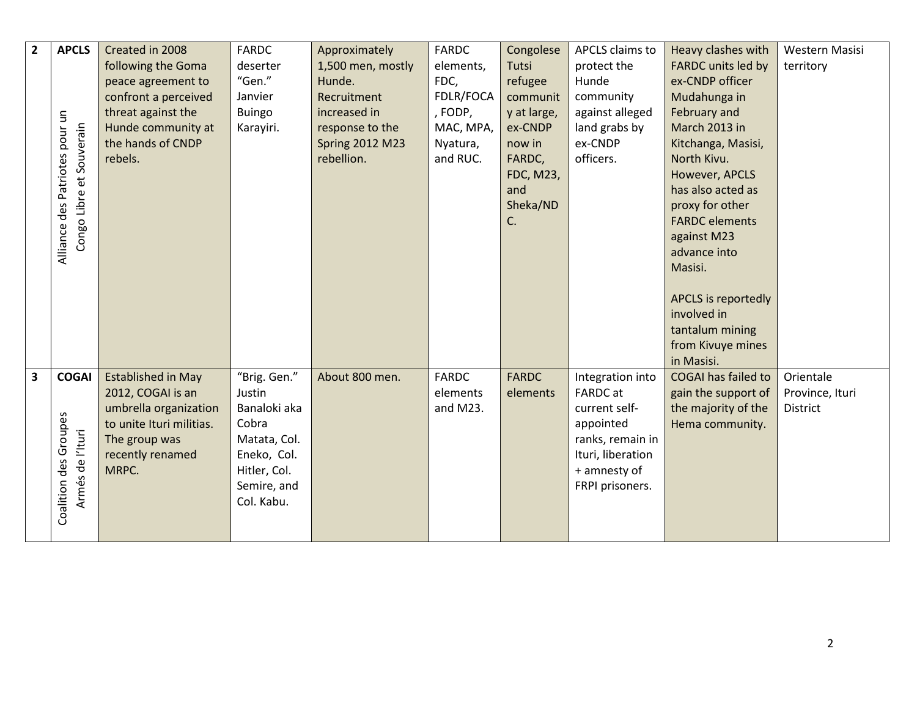| $\mathbf{2}$            | <b>APCLS</b>                                               | Created in 2008           | <b>FARDC</b>  | Approximately          | <b>FARDC</b> | Congolese        | APCLS claims to   | Heavy clashes with         | Western Masisi  |
|-------------------------|------------------------------------------------------------|---------------------------|---------------|------------------------|--------------|------------------|-------------------|----------------------------|-----------------|
|                         |                                                            | following the Goma        | deserter      | 1,500 men, mostly      | elements,    | Tutsi            | protect the       | <b>FARDC</b> units led by  | territory       |
|                         |                                                            | peace agreement to        | "Gen."        | Hunde.                 | FDC,         | refugee          | Hunde             | ex-CNDP officer            |                 |
|                         |                                                            | confront a perceived      | Janvier       | Recruitment            | FDLR/FOCA    | communit         | community         | Mudahunga in               |                 |
|                         |                                                            | threat against the        | <b>Buingo</b> | increased in           | , FODP,      | y at large,      | against alleged   | February and               |                 |
|                         |                                                            | Hunde community at        | Karayiri.     | response to the        | MAC, MPA,    | ex-CNDP          | land grabs by     | March 2013 in              |                 |
|                         |                                                            | the hands of CNDP         |               | <b>Spring 2012 M23</b> | Nyatura,     | now in           | ex-CNDP           | Kitchanga, Masisi,         |                 |
|                         |                                                            | rebels.                   |               | rebellion.             | and RUC.     | FARDC,           | officers.         | North Kivu.                |                 |
|                         |                                                            |                           |               |                        |              | <b>FDC, M23,</b> |                   | However, APCLS             |                 |
|                         |                                                            |                           |               |                        |              | and              |                   | has also acted as          |                 |
|                         | Alliance des Patriotes pour un<br>Congo Libre et Souverain |                           |               |                        |              | Sheka/ND         |                   | proxy for other            |                 |
|                         |                                                            |                           |               |                        |              | C.               |                   | <b>FARDC</b> elements      |                 |
|                         |                                                            |                           |               |                        |              |                  |                   | against M23                |                 |
|                         |                                                            |                           |               |                        |              |                  |                   | advance into               |                 |
|                         |                                                            |                           |               |                        |              |                  |                   | Masisi.                    |                 |
|                         |                                                            |                           |               |                        |              |                  |                   |                            |                 |
|                         |                                                            |                           |               |                        |              |                  |                   | APCLS is reportedly        |                 |
|                         |                                                            |                           |               |                        |              |                  |                   | involved in                |                 |
|                         |                                                            |                           |               |                        |              |                  |                   | tantalum mining            |                 |
|                         |                                                            |                           |               |                        |              |                  |                   | from Kivuye mines          |                 |
|                         |                                                            |                           |               |                        |              |                  |                   | in Masisi.                 |                 |
| $\overline{\mathbf{3}}$ | <b>COGAI</b>                                               | <b>Established in May</b> | "Brig. Gen."  | About 800 men.         | <b>FARDC</b> | <b>FARDC</b>     | Integration into  | <b>COGAI has failed to</b> | Orientale       |
|                         |                                                            | 2012, COGAI is an         | Justin        |                        | elements     | elements         | <b>FARDC</b> at   | gain the support of        | Province, Ituri |
|                         |                                                            | umbrella organization     | Banaloki aka  |                        | and M23.     |                  | current self-     | the majority of the        | <b>District</b> |
|                         |                                                            | to unite Ituri militias.  | Cobra         |                        |              |                  | appointed         | Hema community.            |                 |
|                         |                                                            | The group was             | Matata, Col.  |                        |              |                  | ranks, remain in  |                            |                 |
|                         |                                                            | recently renamed          | Eneko, Col.   |                        |              |                  | Ituri, liberation |                            |                 |
|                         | Armés de l'Ituri                                           | MRPC.                     | Hitler, Col.  |                        |              |                  | + amnesty of      |                            |                 |
|                         |                                                            |                           | Semire, and   |                        |              |                  | FRPI prisoners.   |                            |                 |
|                         | Coalition des Groupes                                      |                           | Col. Kabu.    |                        |              |                  |                   |                            |                 |
|                         |                                                            |                           |               |                        |              |                  |                   |                            |                 |
|                         |                                                            |                           |               |                        |              |                  |                   |                            |                 |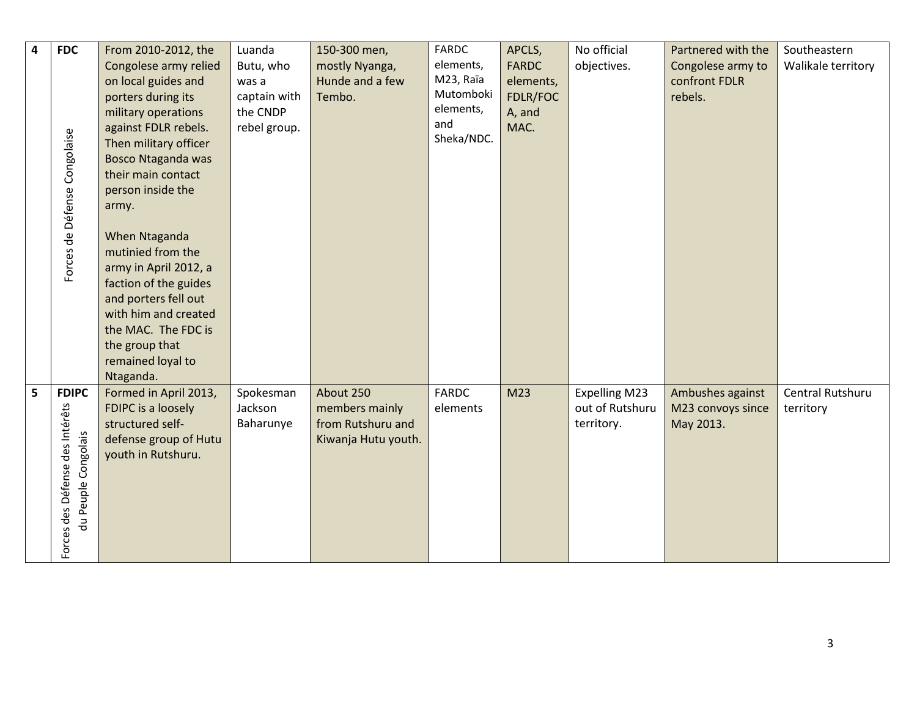| $\overline{\mathbf{4}}$ | <b>FDC</b>                      | From 2010-2012, the       | Luanda       | 150-300 men,        | FARDC        | APCLS,          | No official          | Partnered with the | Southeastern       |
|-------------------------|---------------------------------|---------------------------|--------------|---------------------|--------------|-----------------|----------------------|--------------------|--------------------|
|                         |                                 | Congolese army relied     | Butu, who    | mostly Nyanga,      | elements,    | <b>FARDC</b>    | objectives.          | Congolese army to  | Walikale territory |
|                         |                                 | on local guides and       | was a        | Hunde and a few     | M23, Raïa    | elements,       |                      | confront FDLR      |                    |
|                         |                                 | porters during its        | captain with | Tembo.              | Mutomboki    | FDLR/FOC        |                      | rebels.            |                    |
|                         |                                 | military operations       | the CNDP     |                     | elements,    | A, and          |                      |                    |                    |
|                         |                                 | against FDLR rebels.      | rebel group. |                     | and          | MAC.            |                      |                    |                    |
|                         |                                 | Then military officer     |              |                     | Sheka/NDC.   |                 |                      |                    |                    |
|                         | Forces de Défense Congolaise    | <b>Bosco Ntaganda was</b> |              |                     |              |                 |                      |                    |                    |
|                         |                                 | their main contact        |              |                     |              |                 |                      |                    |                    |
|                         |                                 | person inside the         |              |                     |              |                 |                      |                    |                    |
|                         |                                 | army.                     |              |                     |              |                 |                      |                    |                    |
|                         |                                 |                           |              |                     |              |                 |                      |                    |                    |
|                         |                                 | When Ntaganda             |              |                     |              |                 |                      |                    |                    |
|                         |                                 | mutinied from the         |              |                     |              |                 |                      |                    |                    |
|                         |                                 | army in April 2012, a     |              |                     |              |                 |                      |                    |                    |
|                         |                                 | faction of the guides     |              |                     |              |                 |                      |                    |                    |
|                         |                                 | and porters fell out      |              |                     |              |                 |                      |                    |                    |
|                         |                                 | with him and created      |              |                     |              |                 |                      |                    |                    |
|                         |                                 | the MAC. The FDC is       |              |                     |              |                 |                      |                    |                    |
|                         |                                 | the group that            |              |                     |              |                 |                      |                    |                    |
|                         |                                 | remained loyal to         |              |                     |              |                 |                      |                    |                    |
|                         |                                 | Ntaganda.                 |              |                     |              |                 |                      |                    |                    |
| 5                       | <b>FDIPC</b>                    | Formed in April 2013,     | Spokesman    | About 250           | <b>FARDC</b> | M <sub>23</sub> | <b>Expelling M23</b> | Ambushes against   | Central Rutshuru   |
|                         |                                 | FDIPC is a loosely        | Jackson      | members mainly      | elements     |                 | out of Rutshuru      | M23 convoys since  | territory          |
|                         |                                 | structured self-          | Baharunye    | from Rutshuru and   |              |                 | territory.           | May 2013.          |                    |
|                         |                                 | defense group of Hutu     |              | Kiwanja Hutu youth. |              |                 |                      |                    |                    |
|                         |                                 | youth in Rutshuru.        |              |                     |              |                 |                      |                    |                    |
|                         |                                 |                           |              |                     |              |                 |                      |                    |                    |
|                         |                                 |                           |              |                     |              |                 |                      |                    |                    |
|                         |                                 |                           |              |                     |              |                 |                      |                    |                    |
|                         | du Peuple Congolais             |                           |              |                     |              |                 |                      |                    |                    |
|                         |                                 |                           |              |                     |              |                 |                      |                    |                    |
|                         | Forces des Défense des Intérêts |                           |              |                     |              |                 |                      |                    |                    |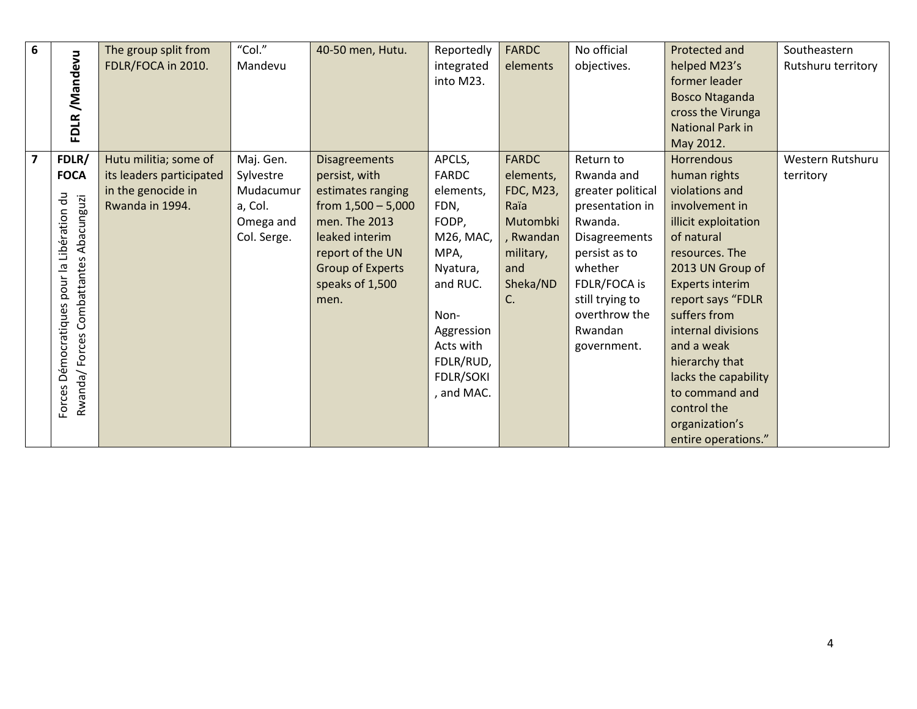| 6                       |                                       | The group split from     | "Col."      | 40-50 men, Hutu.     | Reportedly | <b>FARDC</b> | No official          | Protected and           | Southeastern       |
|-------------------------|---------------------------------------|--------------------------|-------------|----------------------|------------|--------------|----------------------|-------------------------|--------------------|
|                         | FDLR/Mandevu                          | FDLR/FOCA in 2010.       | Mandevu     |                      | integrated | elements     | objectives.          | helped M23's            | Rutshuru territory |
|                         |                                       |                          |             |                      | into M23.  |              |                      | former leader           |                    |
|                         |                                       |                          |             |                      |            |              |                      | <b>Bosco Ntaganda</b>   |                    |
|                         |                                       |                          |             |                      |            |              |                      | cross the Virunga       |                    |
|                         |                                       |                          |             |                      |            |              |                      | <b>National Park in</b> |                    |
|                         |                                       |                          |             |                      |            |              |                      | May 2012.               |                    |
| $\overline{\mathbf{z}}$ | FDLR/                                 | Hutu militia; some of    | Maj. Gen.   | <b>Disagreements</b> | APCLS,     | <b>FARDC</b> | Return to            | <b>Horrendous</b>       | Western Rutshuru   |
|                         | <b>FOCA</b>                           | its leaders participated | Sylvestre   | persist, with        | FARDC      | elements,    | Rwanda and           | human rights            | territory          |
|                         | JU                                    | in the genocide in       | Mudacumur   | estimates ranging    | elements,  | FDC, M23,    | greater political    | violations and          |                    |
|                         |                                       | Rwanda in 1994.          | a, Col.     | from $1,500 - 5,000$ | FDN,       | Raïa         | presentation in      | involvement in          |                    |
|                         |                                       |                          | Omega and   | men. The 2013        | FODP,      | Mutombki     | Rwanda.              | illicit exploitation    |                    |
|                         | Libération                            |                          | Col. Serge. | leaked interim       | M26, MAC,  | , Rwandan    | <b>Disagreements</b> | of natural              |                    |
|                         | Rwanda/Forces Combattantes Abacunguzi |                          |             | report of the UN     | MPA,       | military,    | persist as to        | resources. The          |                    |
|                         |                                       |                          |             | Group of Experts     | Nyatura,   | and          | whether              | 2013 UN Group of        |                    |
|                         | pour la                               |                          |             | speaks of 1,500      | and RUC.   | Sheka/ND     | FDLR/FOCA is         | Experts interim         |                    |
|                         |                                       |                          |             | men.                 |            | C.           | still trying to      | report says "FDLR       |                    |
|                         |                                       |                          |             |                      | Non-       |              | overthrow the        | suffers from            |                    |
|                         |                                       |                          |             |                      | Aggression |              | Rwandan              | internal divisions      |                    |
|                         |                                       |                          |             |                      | Acts with  |              | government.          | and a weak              |                    |
|                         |                                       |                          |             |                      | FDLR/RUD,  |              |                      | hierarchy that          |                    |
|                         |                                       |                          |             |                      | FDLR/SOKI  |              |                      | lacks the capability    |                    |
|                         |                                       |                          |             |                      | and MAC.   |              |                      | to command and          |                    |
|                         | Forces Démocratiques                  |                          |             |                      |            |              |                      | control the             |                    |
|                         |                                       |                          |             |                      |            |              |                      | organization's          |                    |
|                         |                                       |                          |             |                      |            |              |                      | entire operations."     |                    |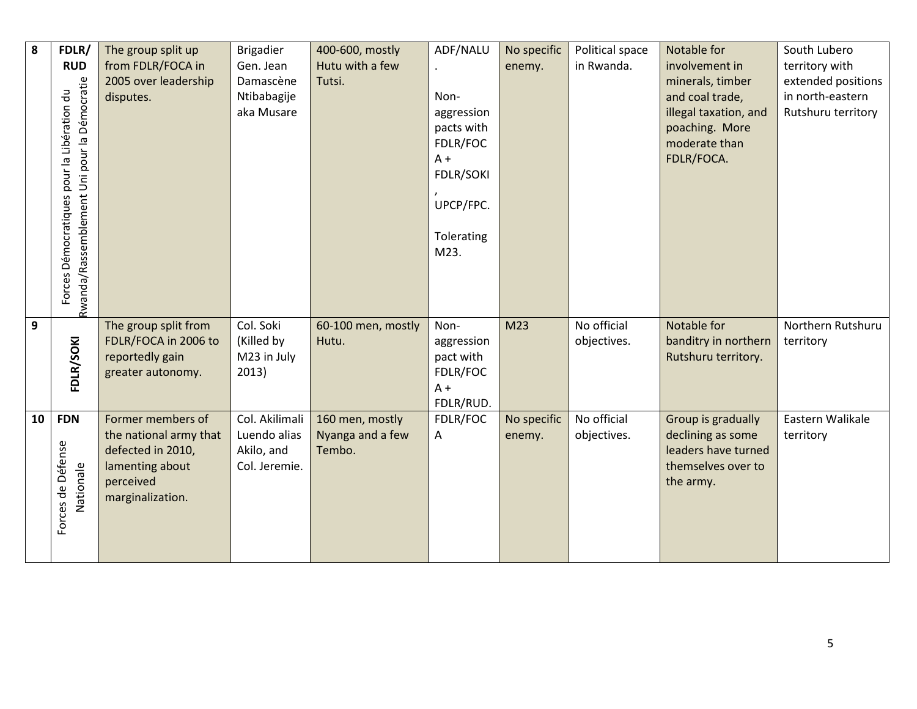| 8            | FDLR/                                       | The group split up                          | <b>Brigadier</b>           | 400-600, mostly            | ADF/NALU          | No specific     | Political space | Notable for                              | South Lubero       |
|--------------|---------------------------------------------|---------------------------------------------|----------------------------|----------------------------|-------------------|-----------------|-----------------|------------------------------------------|--------------------|
|              | <b>RUD</b>                                  | from FDLR/FOCA in                           | Gen. Jean                  | Hutu with a few            |                   | enemy.          | in Rwanda.      | involvement in                           | territory with     |
|              |                                             | 2005 over leadership                        | Damascène                  | Tutsi.                     |                   |                 |                 | minerals, timber                         | extended positions |
|              |                                             | disputes.                                   | Ntibabagije                |                            | Non-              |                 |                 | and coal trade,                          | in north-eastern   |
|              |                                             |                                             | aka Musare                 |                            | aggression        |                 |                 | illegal taxation, and                    | Rutshuru territory |
|              |                                             |                                             |                            |                            | pacts with        |                 |                 | poaching. More                           |                    |
|              |                                             |                                             |                            |                            | FDLR/FOC<br>$A +$ |                 |                 | moderate than<br>FDLR/FOCA.              |                    |
|              |                                             |                                             |                            |                            | <b>FDLR/SOKI</b>  |                 |                 |                                          |                    |
|              |                                             |                                             |                            |                            |                   |                 |                 |                                          |                    |
|              |                                             |                                             |                            |                            | UPCP/FPC.         |                 |                 |                                          |                    |
|              | Forces Démocratiques pour la Libération du  |                                             |                            |                            |                   |                 |                 |                                          |                    |
|              |                                             |                                             |                            |                            | Tolerating        |                 |                 |                                          |                    |
|              |                                             |                                             |                            |                            | M23.              |                 |                 |                                          |                    |
|              |                                             |                                             |                            |                            |                   |                 |                 |                                          |                    |
|              |                                             |                                             |                            |                            |                   |                 |                 |                                          |                    |
|              | Rwanda/Rassemblement Uni pour la Démocratie |                                             |                            |                            |                   |                 |                 |                                          |                    |
| $\mathbf{9}$ |                                             | The group split from                        | Col. Soki                  | 60-100 men, mostly         | Non-              | M <sub>23</sub> | No official     | Notable for                              | Northern Rutshuru  |
|              |                                             | FDLR/FOCA in 2006 to                        | (Killed by                 | Hutu.                      | aggression        |                 | objectives.     | banditry in northern                     | territory          |
|              |                                             | reportedly gain                             | M23 in July                |                            | pact with         |                 |                 | Rutshuru territory.                      |                    |
|              | FDLR/SOKI                                   | greater autonomy.                           | 2013)                      |                            | FDLR/FOC          |                 |                 |                                          |                    |
|              |                                             |                                             |                            |                            | $A +$             |                 |                 |                                          |                    |
|              |                                             |                                             |                            |                            | FDLR/RUD.         |                 |                 |                                          |                    |
| 10           | <b>FDN</b>                                  | Former members of                           | Col. Akilimali             | 160 men, mostly            | FDLR/FOC          | No specific     | No official     | Group is gradually                       | Eastern Walikale   |
|              |                                             | the national army that<br>defected in 2010, | Luendo alias<br>Akilo, and | Nyanga and a few<br>Tembo. | A                 | enemy.          | objectives.     | declining as some<br>leaders have turned | territory          |
|              |                                             | lamenting about                             | Col. Jeremie.              |                            |                   |                 |                 | themselves over to                       |                    |
|              | Nationale                                   | perceived                                   |                            |                            |                   |                 |                 | the army.                                |                    |
|              |                                             | marginalization.                            |                            |                            |                   |                 |                 |                                          |                    |
|              |                                             |                                             |                            |                            |                   |                 |                 |                                          |                    |
|              | Forces de Défense                           |                                             |                            |                            |                   |                 |                 |                                          |                    |
|              |                                             |                                             |                            |                            |                   |                 |                 |                                          |                    |
|              |                                             |                                             |                            |                            |                   |                 |                 |                                          |                    |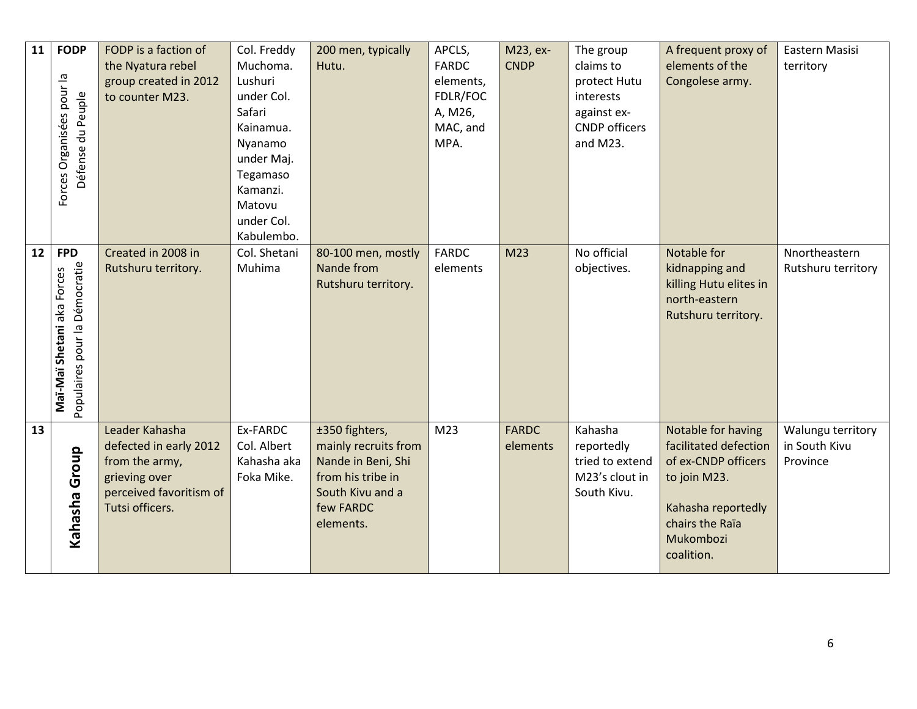| 11 | <b>FODP</b>                                                               | FODP is a faction of                                                                                                      | Col. Freddy                                                                                                                                     | 200 men, typically                                                                                                              | APCLS,                                                               | M23, ex-                 | The group                                                                                 | A frequent proxy of                                                                                                                                    | Eastern Masisi                                 |
|----|---------------------------------------------------------------------------|---------------------------------------------------------------------------------------------------------------------------|-------------------------------------------------------------------------------------------------------------------------------------------------|---------------------------------------------------------------------------------------------------------------------------------|----------------------------------------------------------------------|--------------------------|-------------------------------------------------------------------------------------------|--------------------------------------------------------------------------------------------------------------------------------------------------------|------------------------------------------------|
|    | Forces Organisées pour la<br>Défense du Peuple                            | the Nyatura rebel<br>group created in 2012<br>to counter M23.                                                             | Muchoma.<br>Lushuri<br>under Col.<br>Safari<br>Kainamua.<br>Nyanamo<br>under Maj.<br>Tegamaso<br>Kamanzi.<br>Matovu<br>under Col.<br>Kabulembo. | Hutu.                                                                                                                           | <b>FARDC</b><br>elements,<br>FDLR/FOC<br>A, M26,<br>MAC, and<br>MPA. | <b>CNDP</b>              | claims to<br>protect Hutu<br>interests<br>against ex-<br><b>CNDP</b> officers<br>and M23. | elements of the<br>Congolese army.                                                                                                                     | territory                                      |
| 12 | <b>FPD</b><br>Populaires pour la Démocratie<br>Maï-Maï Shetani aka Forces | Created in 2008 in<br>Rutshuru territory.                                                                                 | Col. Shetani<br>Muhima                                                                                                                          | 80-100 men, mostly<br>Nande from<br>Rutshuru territory.                                                                         | <b>FARDC</b><br>elements                                             | M <sub>23</sub>          | No official<br>objectives.                                                                | Notable for<br>kidnapping and<br>killing Hutu elites in<br>north-eastern<br>Rutshuru territory.                                                        | Nnortheastern<br>Rutshuru territory            |
| 13 | Kahasha Group                                                             | Leader Kahasha<br>defected in early 2012<br>from the army,<br>grieving over<br>perceived favoritism of<br>Tutsi officers. | Ex-FARDC<br>Col. Albert<br>Kahasha aka<br>Foka Mike.                                                                                            | ±350 fighters,<br>mainly recruits from<br>Nande in Beni, Shi<br>from his tribe in<br>South Kivu and a<br>few FARDC<br>elements. | M <sub>23</sub>                                                      | <b>FARDC</b><br>elements | Kahasha<br>reportedly<br>tried to extend<br>M23's clout in<br>South Kivu.                 | Notable for having<br>facilitated defection<br>of ex-CNDP officers<br>to join M23.<br>Kahasha reportedly<br>chairs the Raïa<br>Mukombozi<br>coalition. | Walungu territory<br>in South Kivu<br>Province |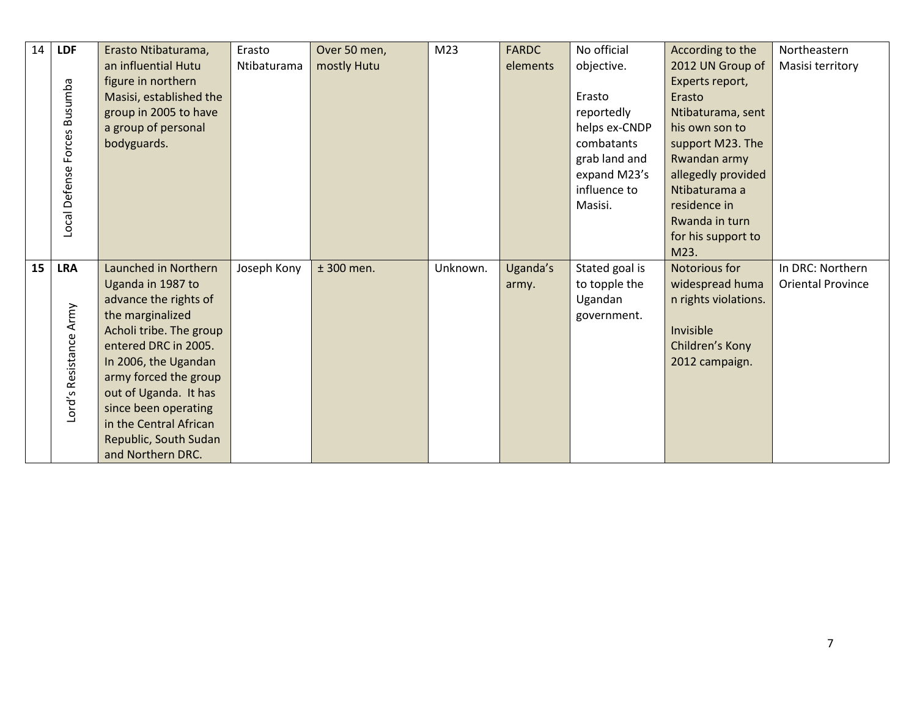| 14 | <b>LDF</b>             | Erasto Ntibaturama,     | Erasto      | Over 50 men, | M <sub>23</sub> | <b>FARDC</b> | No official    | According to the     | Northeastern             |
|----|------------------------|-------------------------|-------------|--------------|-----------------|--------------|----------------|----------------------|--------------------------|
|    |                        | an influential Hutu     | Ntibaturama | mostly Hutu  |                 | elements     | objective.     | 2012 UN Group of     | Masisi territory         |
|    |                        | figure in northern      |             |              |                 |              |                | Experts report,      |                          |
|    |                        | Masisi, established the |             |              |                 |              | Erasto         | Erasto               |                          |
|    |                        | group in 2005 to have   |             |              |                 |              | reportedly     | Ntibaturama, sent    |                          |
|    |                        | a group of personal     |             |              |                 |              | helps ex-CNDP  | his own son to       |                          |
|    | Forces Busumba         | bodyguards.             |             |              |                 |              | combatants     | support M23. The     |                          |
|    |                        |                         |             |              |                 |              | grab land and  | Rwandan army         |                          |
|    | Local Defense          |                         |             |              |                 |              | expand M23's   | allegedly provided   |                          |
|    |                        |                         |             |              |                 |              | influence to   | Ntibaturama a        |                          |
|    |                        |                         |             |              |                 |              | Masisi.        | residence in         |                          |
|    |                        |                         |             |              |                 |              |                | Rwanda in turn       |                          |
|    |                        |                         |             |              |                 |              |                | for his support to   |                          |
|    |                        |                         |             |              |                 |              |                | M23.                 |                          |
| 15 | <b>LRA</b>             | Launched in Northern    | Joseph Kony | $±$ 300 men. | Unknown.        | Uganda's     | Stated goal is | Notorious for        | In DRC: Northern         |
|    |                        | Uganda in 1987 to       |             |              |                 | army.        | to topple the  | widespread huma      | <b>Oriental Province</b> |
|    |                        | advance the rights of   |             |              |                 |              | Ugandan        | n rights violations. |                          |
|    | Lord's Resistance Army | the marginalized        |             |              |                 |              | government.    |                      |                          |
|    |                        | Acholi tribe. The group |             |              |                 |              |                | Invisible            |                          |
|    |                        | entered DRC in 2005.    |             |              |                 |              |                | Children's Kony      |                          |
|    |                        | In 2006, the Ugandan    |             |              |                 |              |                | 2012 campaign.       |                          |
|    |                        | army forced the group   |             |              |                 |              |                |                      |                          |
|    |                        | out of Uganda. It has   |             |              |                 |              |                |                      |                          |
|    |                        | since been operating    |             |              |                 |              |                |                      |                          |
|    |                        | in the Central African  |             |              |                 |              |                |                      |                          |
|    |                        | Republic, South Sudan   |             |              |                 |              |                |                      |                          |
|    |                        | and Northern DRC.       |             |              |                 |              |                |                      |                          |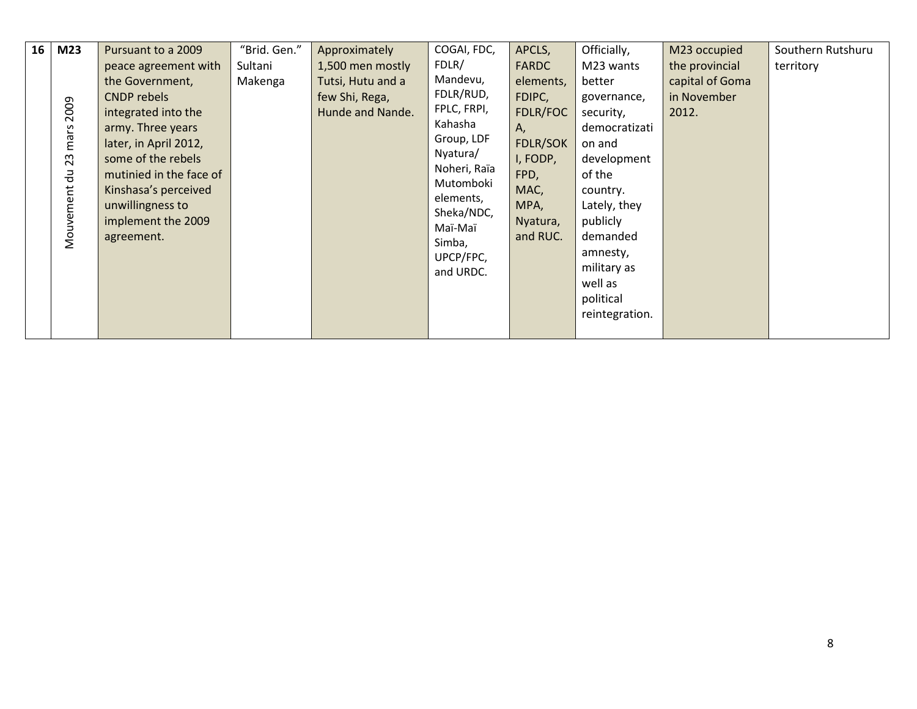| 16<br>M <sub>23</sub><br>2009<br>mars<br>23<br>긍<br>Mouvement | Pursuant to a 2009<br>peace agreement with<br>the Government,<br>CNDP rebels<br>integrated into the<br>army. Three years<br>later, in April 2012,<br>some of the rebels<br>mutinied in the face of<br>Kinshasa's perceived<br>unwillingness to<br>implement the 2009<br>agreement. | "Brid. Gen."<br>Sultani<br>Makenga | Approximately<br>1,500 men mostly<br>Tutsi, Hutu and a<br>few Shi, Rega,<br>Hunde and Nande. | COGAI, FDC,<br>FDLR/<br>Mandevu,<br>FDLR/RUD,<br>FPLC, FRPI,<br>Kahasha<br>Group, LDF<br>Nyatura/<br>Noheri, Raïa<br>Mutomboki<br>elements,<br>Sheka/NDC,<br>Maï-Maï<br>Simba,<br>UPCP/FPC,<br>and URDC. | APCLS,<br><b>FARDC</b><br>elements,<br>FDIPC,<br>FDLR/FOC<br>Α,<br><b>FDLR/SOK</b><br>I, FODP,<br>FPD,<br>MAC,<br>MPA,<br>Nyatura,<br>and RUC. | Officially,<br>M23 wants<br>better<br>governance,<br>security,<br>democratizati<br>on and<br>development<br>of the<br>country.<br>Lately, they<br>publicly<br>demanded<br>amnesty,<br>military as<br>well as<br>political<br>reintegration. | M23 occupied<br>the provincial<br>capital of Goma<br>in November<br>2012. | Southern Rutshuru<br>territory |
|---------------------------------------------------------------|------------------------------------------------------------------------------------------------------------------------------------------------------------------------------------------------------------------------------------------------------------------------------------|------------------------------------|----------------------------------------------------------------------------------------------|----------------------------------------------------------------------------------------------------------------------------------------------------------------------------------------------------------|------------------------------------------------------------------------------------------------------------------------------------------------|---------------------------------------------------------------------------------------------------------------------------------------------------------------------------------------------------------------------------------------------|---------------------------------------------------------------------------|--------------------------------|
|---------------------------------------------------------------|------------------------------------------------------------------------------------------------------------------------------------------------------------------------------------------------------------------------------------------------------------------------------------|------------------------------------|----------------------------------------------------------------------------------------------|----------------------------------------------------------------------------------------------------------------------------------------------------------------------------------------------------------|------------------------------------------------------------------------------------------------------------------------------------------------|---------------------------------------------------------------------------------------------------------------------------------------------------------------------------------------------------------------------------------------------|---------------------------------------------------------------------------|--------------------------------|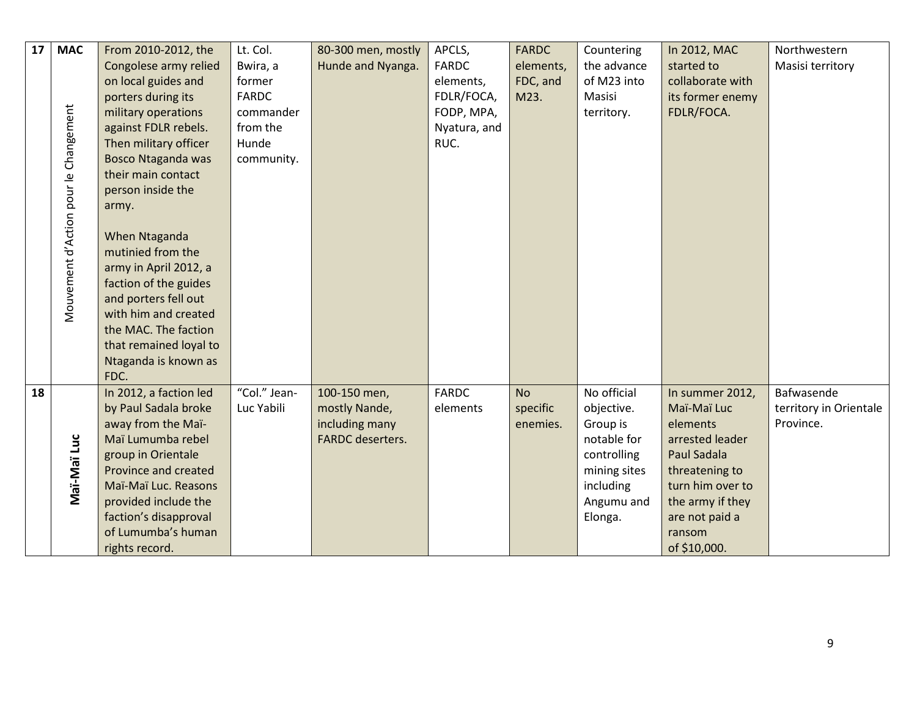| 17 | <b>MAC</b>                            | From 2010-2012, the       | Lt. Col.     | 80-300 men, mostly      | APCLS,       | <b>FARDC</b> | Countering   | In 2012, MAC     | Northwestern           |
|----|---------------------------------------|---------------------------|--------------|-------------------------|--------------|--------------|--------------|------------------|------------------------|
|    |                                       | Congolese army relied     | Bwira, a     | Hunde and Nyanga.       | <b>FARDC</b> | elements,    | the advance  | started to       | Masisi territory       |
|    |                                       | on local guides and       | former       |                         | elements,    | FDC, and     | of M23 into  | collaborate with |                        |
|    |                                       | porters during its        | <b>FARDC</b> |                         | FDLR/FOCA,   | M23.         | Masisi       | its former enemy |                        |
|    |                                       | military operations       | commander    |                         | FODP, MPA,   |              | territory.   | FDLR/FOCA.       |                        |
|    |                                       | against FDLR rebels.      | from the     |                         | Nyatura, and |              |              |                  |                        |
|    |                                       | Then military officer     | Hunde        |                         | RUC.         |              |              |                  |                        |
|    | Mouvement d'Action pour le Changement | <b>Bosco Ntaganda was</b> | community.   |                         |              |              |              |                  |                        |
|    |                                       | their main contact        |              |                         |              |              |              |                  |                        |
|    |                                       | person inside the         |              |                         |              |              |              |                  |                        |
|    |                                       | army.                     |              |                         |              |              |              |                  |                        |
|    |                                       |                           |              |                         |              |              |              |                  |                        |
|    |                                       | When Ntaganda             |              |                         |              |              |              |                  |                        |
|    |                                       | mutinied from the         |              |                         |              |              |              |                  |                        |
|    |                                       | army in April 2012, a     |              |                         |              |              |              |                  |                        |
|    |                                       | faction of the guides     |              |                         |              |              |              |                  |                        |
|    |                                       | and porters fell out      |              |                         |              |              |              |                  |                        |
|    |                                       | with him and created      |              |                         |              |              |              |                  |                        |
|    |                                       | the MAC. The faction      |              |                         |              |              |              |                  |                        |
|    |                                       | that remained loyal to    |              |                         |              |              |              |                  |                        |
|    |                                       | Ntaganda is known as      |              |                         |              |              |              |                  |                        |
|    |                                       | FDC.                      |              |                         |              |              |              |                  |                        |
| 18 |                                       | In 2012, a faction led    | "Col." Jean- | 100-150 men,            | <b>FARDC</b> | <b>No</b>    | No official  | In summer 2012,  | Bafwasende             |
|    |                                       | by Paul Sadala broke      | Luc Yabili   | mostly Nande,           | elements     | specific     | objective.   | Maï-Maï Luc      | territory in Orientale |
|    |                                       | away from the Maï-        |              | including many          |              | enemies.     | Group is     | elements         | Province.              |
|    |                                       | Maï Lumumba rebel         |              | <b>FARDC</b> deserters. |              |              | notable for  | arrested leader  |                        |
|    |                                       | group in Orientale        |              |                         |              |              | controlling  | Paul Sadala      |                        |
|    | Maï-Maï Luc                           | Province and created      |              |                         |              |              | mining sites | threatening to   |                        |
|    |                                       | Maï-Maï Luc. Reasons      |              |                         |              |              | including    | turn him over to |                        |
|    |                                       | provided include the      |              |                         |              |              | Angumu and   | the army if they |                        |
|    |                                       | faction's disapproval     |              |                         |              |              | Elonga.      | are not paid a   |                        |
|    |                                       | of Lumumba's human        |              |                         |              |              |              | ransom           |                        |
|    |                                       |                           |              |                         |              |              |              |                  |                        |
|    |                                       | rights record.            |              |                         |              |              |              | of \$10,000.     |                        |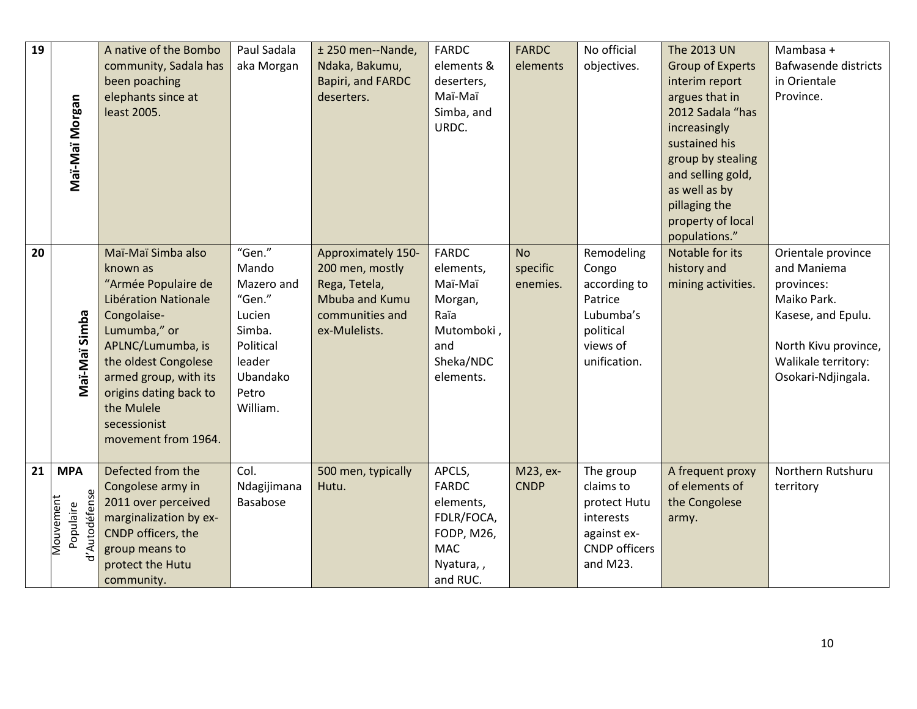| 19 |                                         | A native of the Bombo                        | Paul Sadala             | ± 250 men--Nande,  | <b>FARDC</b>             | <b>FARDC</b> | No official                         | The 2013 UN             | Mambasa +            |
|----|-----------------------------------------|----------------------------------------------|-------------------------|--------------------|--------------------------|--------------|-------------------------------------|-------------------------|----------------------|
|    |                                         | community, Sadala has                        | aka Morgan              | Ndaka, Bakumu,     | elements &               | elements     | objectives.                         | <b>Group of Experts</b> | Bafwasende districts |
|    |                                         | been poaching                                |                         | Bapiri, and FARDC  | deserters,               |              |                                     | interim report          | in Orientale         |
|    |                                         | elephants since at                           |                         | deserters.         | Maï-Maï                  |              |                                     | argues that in          | Province.            |
|    |                                         | least 2005.                                  |                         |                    | Simba, and               |              |                                     | 2012 Sadala "has        |                      |
|    |                                         |                                              |                         |                    | URDC.                    |              |                                     | increasingly            |                      |
|    |                                         |                                              |                         |                    |                          |              |                                     | sustained his           |                      |
|    | Maï-Maï Morgan                          |                                              |                         |                    |                          |              |                                     | group by stealing       |                      |
|    |                                         |                                              |                         |                    |                          |              |                                     | and selling gold,       |                      |
|    |                                         |                                              |                         |                    |                          |              |                                     | as well as by           |                      |
|    |                                         |                                              |                         |                    |                          |              |                                     | pillaging the           |                      |
|    |                                         |                                              |                         |                    |                          |              |                                     | property of local       |                      |
|    |                                         |                                              |                         |                    |                          |              |                                     | populations."           |                      |
| 20 |                                         | Maï-Maï Simba also                           | "Gen."                  | Approximately 150- | <b>FARDC</b>             | <b>No</b>    | Remodeling                          | Notable for its         | Orientale province   |
|    |                                         | known as                                     | Mando                   | 200 men, mostly    | elements,                | specific     | Congo                               | history and             | and Maniema          |
|    |                                         | "Armée Populaire de                          | Mazero and              | Rega, Tetela,      | Maï-Maï                  | enemies.     | according to                        | mining activities.      | provinces:           |
|    |                                         | Libération Nationale                         | "Gen."                  | Mbuba and Kumu     | Morgan,                  |              | Patrice                             |                         | Maiko Park.          |
|    | Maï-Maï Simba                           | Congolaise-                                  | Lucien                  | communities and    | Raïa                     |              | Lubumba's                           |                         | Kasese, and Epulu.   |
|    |                                         | Lumumba," or                                 | Simba.                  | ex-Mulelists.      | Mutomboki,               |              | political                           |                         |                      |
|    |                                         | APLNC/Lumumba, is                            | Political               |                    | and                      |              | views of                            |                         | North Kivu province, |
|    |                                         | the oldest Congolese                         | leader                  |                    | Sheka/NDC                |              | unification.                        |                         | Walikale territory:  |
|    |                                         | armed group, with its                        | Ubandako                |                    | elements.                |              |                                     |                         | Osokari-Ndjingala.   |
|    |                                         | origins dating back to                       | Petro                   |                    |                          |              |                                     |                         |                      |
|    |                                         | the Mulele                                   | William.                |                    |                          |              |                                     |                         |                      |
|    |                                         | secessionist                                 |                         |                    |                          |              |                                     |                         |                      |
|    |                                         | movement from 1964.                          |                         |                    |                          |              |                                     |                         |                      |
|    |                                         |                                              |                         |                    |                          |              |                                     |                         |                      |
| 21 | <b>MPA</b>                              | Defected from the                            | Col.                    | 500 men, typically | APCLS,<br><b>FARDC</b>   | M23, ex-     | The group                           | A frequent proxy        | Northern Rutshuru    |
|    |                                         | Congolese army in                            | Ndagijimana<br>Basabose | Hutu.              |                          | <b>CNDP</b>  | claims to                           | of elements of          | territory            |
|    | d'Autodéfense<br>Mouvement<br>Populaire | 2011 over perceived                          |                         |                    | elements,                |              | protect Hutu                        | the Congolese           |                      |
|    |                                         | marginalization by ex-<br>CNDP officers, the |                         |                    | FDLR/FOCA,<br>FODP, M26, |              | interests                           | army.                   |                      |
|    |                                         | group means to                               |                         |                    | <b>MAC</b>               |              | against ex-<br><b>CNDP</b> officers |                         |                      |
|    |                                         | protect the Hutu                             |                         |                    |                          |              | and M23.                            |                         |                      |
|    |                                         |                                              |                         |                    | Nyatura,,                |              |                                     |                         |                      |
|    |                                         | community.                                   |                         |                    | and RUC.                 |              |                                     |                         |                      |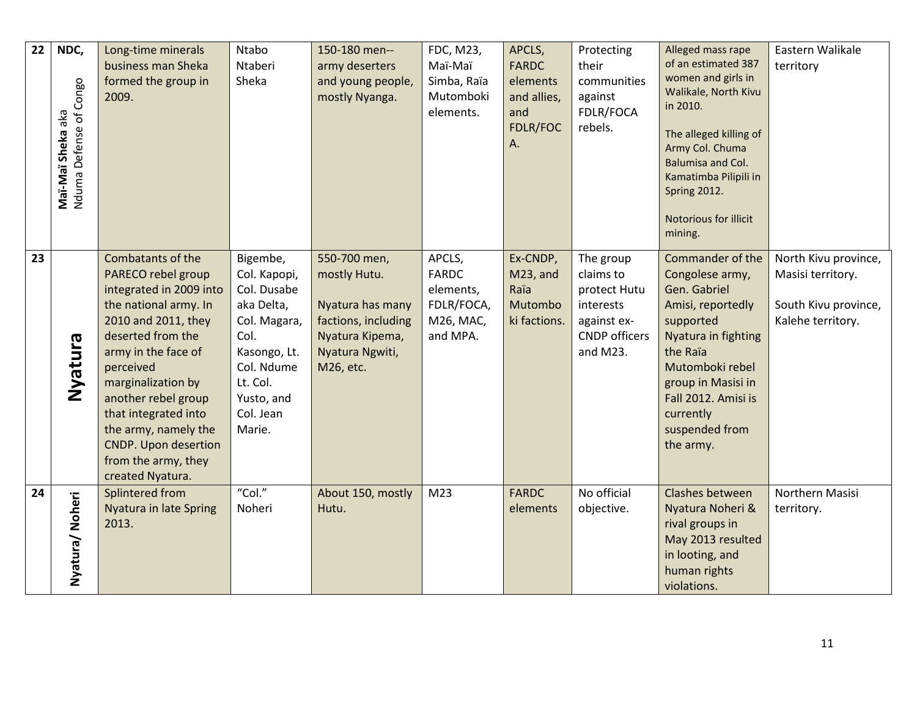| 22 | NDC,<br>Nduma Defense of Congo<br>Maï-Maï Sheka aka | Long-time minerals<br>business man Sheka<br>formed the group in<br>2009.                                                                                                                                                                                                                         | Ntabo<br>Ntaberi<br>Sheka                                                                                                        | 150-180 men--<br>army deserters<br>and young people,<br>mostly Nyanga.                     | FDC, M23,<br>Maï-Maï<br>Simba, Raïa<br>Mutomboki<br>elements. | APCLS,<br><b>FARDC</b><br>elements<br>and allies,<br>and<br>FDLR/FOC<br>Α. | Protecting<br>their<br>communities<br>against<br>FDLR/FOCA<br>rebels.        | Alleged mass rape<br>of an estimated 387<br>women and girls in<br>Walikale, North Kivu<br>in 2010.<br>The alleged killing of<br>Army Col. Chuma<br>Balumisa and Col.<br>Kamatimba Pilipili in<br>Spring 2012. | Eastern Walikale<br>territory             |
|----|-----------------------------------------------------|--------------------------------------------------------------------------------------------------------------------------------------------------------------------------------------------------------------------------------------------------------------------------------------------------|----------------------------------------------------------------------------------------------------------------------------------|--------------------------------------------------------------------------------------------|---------------------------------------------------------------|----------------------------------------------------------------------------|------------------------------------------------------------------------------|---------------------------------------------------------------------------------------------------------------------------------------------------------------------------------------------------------------|-------------------------------------------|
| 23 |                                                     | Combatants of the<br>PARECO rebel group                                                                                                                                                                                                                                                          | Bigembe,<br>Col. Kapopi,                                                                                                         | 550-700 men,<br>mostly Hutu.                                                               | APCLS,<br><b>FARDC</b>                                        | Ex-CNDP,<br>M23, and                                                       | The group<br>claims to                                                       | Notorious for illicit<br>mining.<br>Commander of the<br>Congolese army,                                                                                                                                       | North Kivu province,<br>Masisi territory. |
|    | Nyatura                                             | integrated in 2009 into<br>the national army. In<br>2010 and 2011, they<br>deserted from the<br>army in the face of<br>perceived<br>marginalization by<br>another rebel group<br>that integrated into<br>the army, namely the<br>CNDP. Upon desertion<br>from the army, they<br>created Nyatura. | Col. Dusabe<br>aka Delta,<br>Col. Magara,<br>Col.<br>Kasongo, Lt.<br>Col. Ndume<br>Lt. Col.<br>Yusto, and<br>Col. Jean<br>Marie. | Nyatura has many<br>factions, including<br>Nyatura Kipema,<br>Nyatura Ngwiti,<br>M26, etc. | elements,<br>FDLR/FOCA,<br>M26, MAC,<br>and MPA.              | Raïa<br>Mutombo<br>ki factions.                                            | protect Hutu<br>interests<br>against ex-<br><b>CNDP</b> officers<br>and M23. | Gen. Gabriel<br>Amisi, reportedly<br>supported<br>Nyatura in fighting<br>the Raïa<br>Mutomboki rebel<br>group in Masisi in<br>Fall 2012. Amisi is<br>currently<br>suspended from<br>the army.                 | South Kivu province,<br>Kalehe territory. |
| 24 | Nyatura/ Noheri                                     | Splintered from<br><b>Nyatura in late Spring</b><br>2013.                                                                                                                                                                                                                                        | "Col."<br>Noheri                                                                                                                 | About 150, mostly<br>Hutu.                                                                 | M <sub>23</sub>                                               | <b>FARDC</b><br>elements                                                   | No official<br>objective.                                                    | Clashes between<br>Nyatura Noheri &<br>rival groups in<br>May 2013 resulted<br>in looting, and<br>human rights<br>violations.                                                                                 | Northern Masisi<br>territory.             |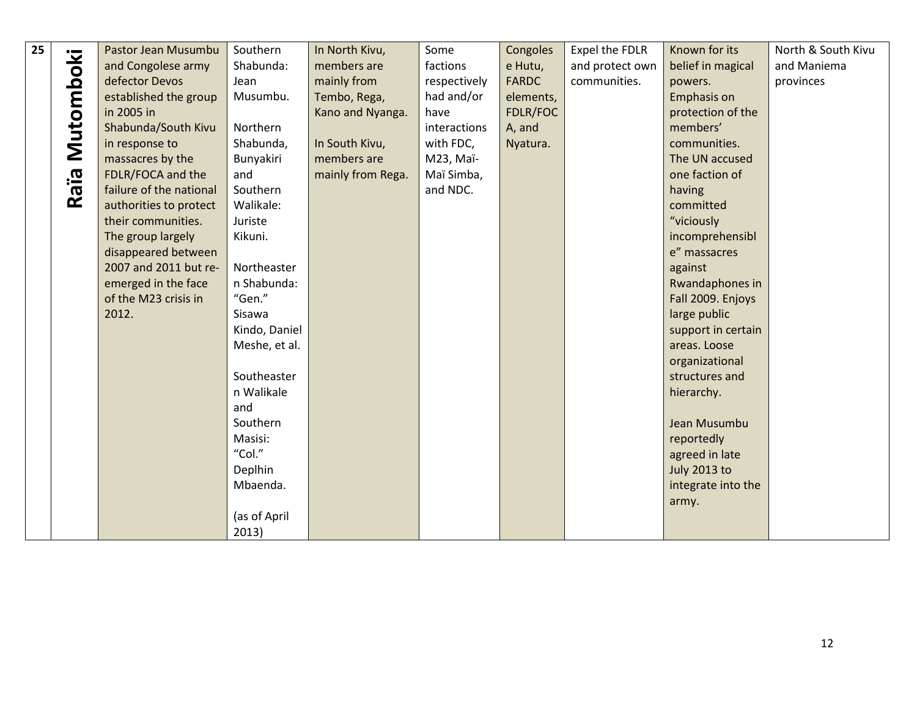| 25 |                      | Pastor Jean Musumbu     | Southern      | In North Kivu,    | Some         | Congoles     | Expel the FDLR  | Known for its       | North & South Kivu |
|----|----------------------|-------------------------|---------------|-------------------|--------------|--------------|-----------------|---------------------|--------------------|
|    | Mutomboki            | and Congolese army      | Shabunda:     | members are       | factions     | e Hutu,      | and protect own | belief in magical   | and Maniema        |
|    |                      | defector Devos          | Jean          | mainly from       | respectively | <b>FARDC</b> | communities.    | powers.             | provinces          |
|    |                      | established the group   | Musumbu.      | Tembo, Rega,      | had and/or   | elements,    |                 | Emphasis on         |                    |
|    |                      | in 2005 in              |               | Kano and Nyanga.  | have         | FDLR/FOC     |                 | protection of the   |                    |
|    |                      | Shabunda/South Kivu     | Northern      |                   | interactions | A, and       |                 | members'            |                    |
|    |                      | in response to          | Shabunda,     | In South Kivu,    | with FDC,    | Nyatura.     |                 | communities.        |                    |
|    |                      | massacres by the        | Bunyakiri     | members are       | M23, Maï-    |              |                 | The UN accused      |                    |
|    |                      | FDLR/FOCA and the       | and           | mainly from Rega. | Maï Simba,   |              |                 | one faction of      |                    |
|    | <b>Bie.</b>          | failure of the national | Southern      |                   | and NDC.     |              |                 | having              |                    |
|    | $\tilde{\mathbf{z}}$ | authorities to protect  | Walikale:     |                   |              |              |                 | committed           |                    |
|    |                      | their communities.      | Juriste       |                   |              |              |                 | "viciously          |                    |
|    |                      | The group largely       | Kikuni.       |                   |              |              |                 | incomprehensibl     |                    |
|    |                      | disappeared between     |               |                   |              |              |                 | e" massacres        |                    |
|    |                      | 2007 and 2011 but re-   | Northeaster   |                   |              |              |                 | against             |                    |
|    |                      | emerged in the face     | n Shabunda:   |                   |              |              |                 | Rwandaphones in     |                    |
|    |                      | of the M23 crisis in    | "Gen."        |                   |              |              |                 | Fall 2009. Enjoys   |                    |
|    |                      | 2012.                   | Sisawa        |                   |              |              |                 | large public        |                    |
|    |                      |                         | Kindo, Daniel |                   |              |              |                 | support in certain  |                    |
|    |                      |                         | Meshe, et al. |                   |              |              |                 | areas. Loose        |                    |
|    |                      |                         |               |                   |              |              |                 | organizational      |                    |
|    |                      |                         | Southeaster   |                   |              |              |                 | structures and      |                    |
|    |                      |                         | n Walikale    |                   |              |              |                 | hierarchy.          |                    |
|    |                      |                         | and           |                   |              |              |                 |                     |                    |
|    |                      |                         | Southern      |                   |              |              |                 | Jean Musumbu        |                    |
|    |                      |                         | Masisi:       |                   |              |              |                 | reportedly          |                    |
|    |                      |                         | "Col."        |                   |              |              |                 | agreed in late      |                    |
|    |                      |                         | Deplhin       |                   |              |              |                 | <b>July 2013 to</b> |                    |
|    |                      |                         | Mbaenda.      |                   |              |              |                 | integrate into the  |                    |
|    |                      |                         |               |                   |              |              |                 | army.               |                    |
|    |                      |                         | (as of April  |                   |              |              |                 |                     |                    |
|    |                      |                         | 2013)         |                   |              |              |                 |                     |                    |